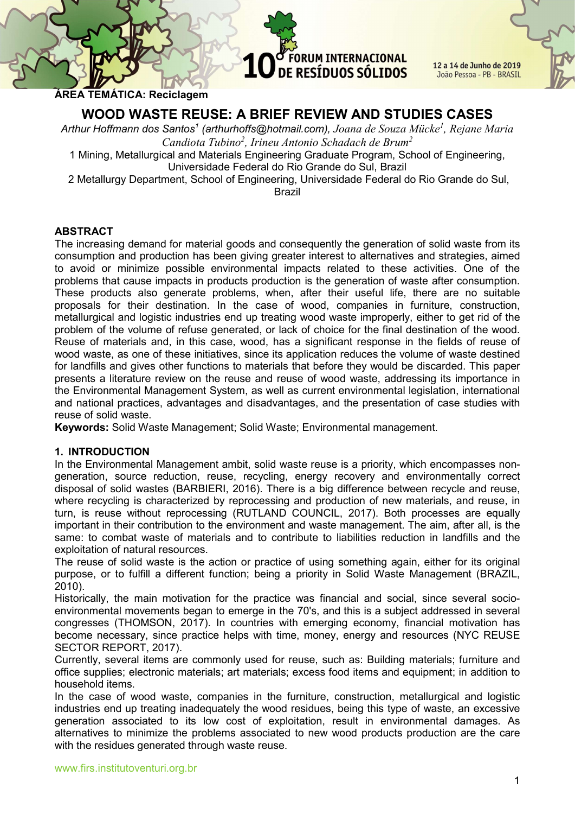12 a 14 de Junho de 2019 João Pessoa - PB - BRASIL

ÁREA TEMÁTICA: Reciclagem

# WOOD WASTE REUSE: A BRIEF REVIEW AND STUDIES CASES

Arthur Hoffmann dos Santos<sup>1</sup> (arthurhoffs@hotmail.com), Joana de Souza Mücke<sup>1</sup>, Rejane Maria Candiota Tubino<sup>2</sup>, Irineu Antonio Schadach de Brum<sup>2</sup> 1 Mining, Metallurgical and Materials Engineering Graduate Program, School of Engineering, Universidade Federal do Rio Grande do Sul, Brazil

2 Metallurgy Department, School of Engineering, Universidade Federal do Rio Grande do Sul,

Brazil

# **ABSTRACT**

The increasing demand for material goods and consequently the generation of solid waste from its consumption and production has been giving greater interest to alternatives and strategies, aimed to avoid or minimize possible environmental impacts related to these activities. One of the problems that cause impacts in products production is the generation of waste after consumption. These products also generate problems, when, after their useful life, there are no suitable proposals for their destination. In the case of wood, companies in furniture, construction, metallurgical and logistic industries end up treating wood waste improperly, either to get rid of the problem of the volume of refuse generated, or lack of choice for the final destination of the wood. Reuse of materials and, in this case, wood, has a significant response in the fields of reuse of wood waste, as one of these initiatives, since its application reduces the volume of waste destined for landfills and gives other functions to materials that before they would be discarded. This paper presents a literature review on the reuse and reuse of wood waste, addressing its importance in the Environmental Management System, as well as current environmental legislation, international and national practices, advantages and disadvantages, and the presentation of case studies with reuse of solid waste.

Keywords: Solid Waste Management; Solid Waste; Environmental management.

#### 1. INTRODUCTION

In the Environmental Management ambit, solid waste reuse is a priority, which encompasses nongeneration, source reduction, reuse, recycling, energy recovery and environmentally correct disposal of solid wastes (BARBIERI, 2016). There is a big difference between recycle and reuse, where recycling is characterized by reprocessing and production of new materials, and reuse, in turn, is reuse without reprocessing (RUTLAND COUNCIL, 2017). Both processes are equally important in their contribution to the environment and waste management. The aim, after all, is the same: to combat waste of materials and to contribute to liabilities reduction in landfills and the exploitation of natural resources.

The reuse of solid waste is the action or practice of using something again, either for its original purpose, or to fulfill a different function; being a priority in Solid Waste Management (BRAZIL, 2010).

Historically, the main motivation for the practice was financial and social, since several socioenvironmental movements began to emerge in the 70's, and this is a subject addressed in several congresses (THOMSON, 2017). In countries with emerging economy, financial motivation has become necessary, since practice helps with time, money, energy and resources (NYC REUSE SECTOR REPORT, 2017).

Currently, several items are commonly used for reuse, such as: Building materials; furniture and office supplies; electronic materials; art materials; excess food items and equipment; in addition to household items.

In the case of wood waste, companies in the furniture, construction, metallurgical and logistic industries end up treating inadequately the wood residues, being this type of waste, an excessive generation associated to its low cost of exploitation, result in environmental damages. As alternatives to minimize the problems associated to new wood products production are the care with the residues generated through waste reuse.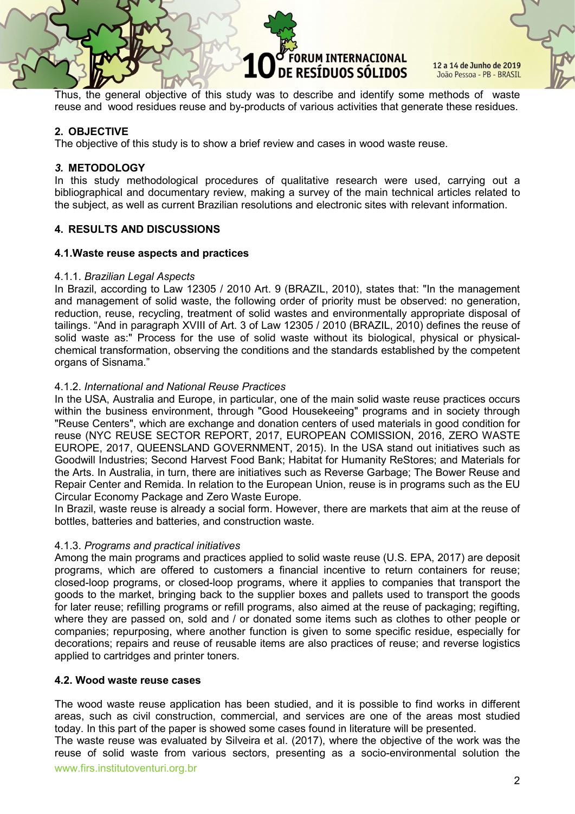12 a 14 de Junho de 2019 João Pessoa - PB - BRASIL

Thus, the general objective of this study was to describe and identify some methods of waste reuse and wood residues reuse and by-products of various activities that generate these residues.

### 2. OBJECTIVE

The objective of this study is to show a brief review and cases in wood waste reuse.

#### 3. METODOLOGY

In this study methodological procedures of qualitative research were used, carrying out a bibliographical and documentary review, making a survey of the main technical articles related to the subject, as well as current Brazilian resolutions and electronic sites with relevant information.

#### 4. RESULTS AND DISCUSSIONS

#### 4.1.Waste reuse aspects and practices

#### 4.1.1. Brazilian Legal Aspects

In Brazil, according to Law 12305 / 2010 Art. 9 (BRAZIL, 2010), states that: "In the management and management of solid waste, the following order of priority must be observed: no generation, reduction, reuse, recycling, treatment of solid wastes and environmentally appropriate disposal of tailings. "And in paragraph XVIII of Art. 3 of Law 12305 / 2010 (BRAZIL, 2010) defines the reuse of solid waste as:" Process for the use of solid waste without its biological, physical or physicalchemical transformation, observing the conditions and the standards established by the competent organs of Sisnama."

#### 4.1.2. International and National Reuse Practices

In the USA, Australia and Europe, in particular, one of the main solid waste reuse practices occurs within the business environment, through "Good Housekeeing" programs and in society through "Reuse Centers", which are exchange and donation centers of used materials in good condition for reuse (NYC REUSE SECTOR REPORT, 2017, EUROPEAN COMISSION, 2016, ZERO WASTE EUROPE, 2017, QUEENSLAND GOVERNMENT, 2015). In the USA stand out initiatives such as Goodwill Industries; Second Harvest Food Bank; Habitat for Humanity ReStores; and Materials for the Arts. In Australia, in turn, there are initiatives such as Reverse Garbage; The Bower Reuse and Repair Center and Remida. In relation to the European Union, reuse is in programs such as the EU Circular Economy Package and Zero Waste Europe.

In Brazil, waste reuse is already a social form. However, there are markets that aim at the reuse of bottles, batteries and batteries, and construction waste.

# 4.1.3. Programs and practical initiatives

Among the main programs and practices applied to solid waste reuse (U.S. EPA, 2017) are deposit programs, which are offered to customers a financial incentive to return containers for reuse; closed-loop programs, or closed-loop programs, where it applies to companies that transport the goods to the market, bringing back to the supplier boxes and pallets used to transport the goods for later reuse; refilling programs or refill programs, also aimed at the reuse of packaging; regifting, where they are passed on, sold and / or donated some items such as clothes to other people or companies; repurposing, where another function is given to some specific residue, especially for decorations; repairs and reuse of reusable items are also practices of reuse; and reverse logistics applied to cartridges and printer toners.

#### 4.2. Wood waste reuse cases

The wood waste reuse application has been studied, and it is possible to find works in different areas, such as civil construction, commercial, and services are one of the areas most studied today. In this part of the paper is showed some cases found in literature will be presented.

www.firs.institutoventuri.org.br The waste reuse was evaluated by Silveira et al. (2017), where the objective of the work was the reuse of solid waste from various sectors, presenting as a socio-environmental solution the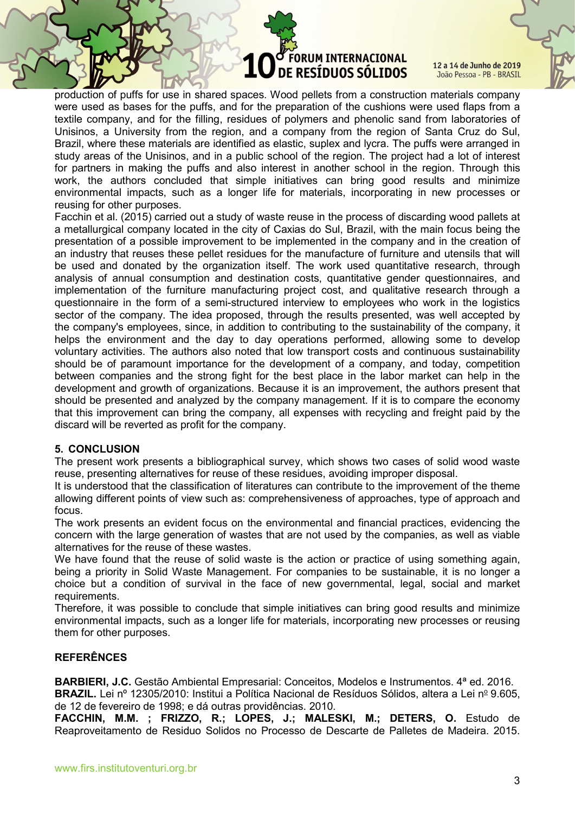12 a 14 de Junho de 2019 João Pessoa - PB - BRASIL

production of puffs for use in shared spaces. Wood pellets from a construction materials company were used as bases for the puffs, and for the preparation of the cushions were used flaps from a textile company, and for the filling, residues of polymers and phenolic sand from laboratories of Unisinos, a University from the region, and a company from the region of Santa Cruz do Sul, Brazil, where these materials are identified as elastic, suplex and lycra. The puffs were arranged in study areas of the Unisinos, and in a public school of the region. The project had a lot of interest for partners in making the puffs and also interest in another school in the region. Through this work, the authors concluded that simple initiatives can bring good results and minimize environmental impacts, such as a longer life for materials, incorporating in new processes or reusing for other purposes.

Facchin et al. (2015) carried out a study of waste reuse in the process of discarding wood pallets at a metallurgical company located in the city of Caxias do Sul, Brazil, with the main focus being the presentation of a possible improvement to be implemented in the company and in the creation of an industry that reuses these pellet residues for the manufacture of furniture and utensils that will be used and donated by the organization itself. The work used quantitative research, through analysis of annual consumption and destination costs, quantitative gender questionnaires, and implementation of the furniture manufacturing project cost, and qualitative research through a questionnaire in the form of a semi-structured interview to employees who work in the logistics sector of the company. The idea proposed, through the results presented, was well accepted by the company's employees, since, in addition to contributing to the sustainability of the company, it helps the environment and the day to day operations performed, allowing some to develop voluntary activities. The authors also noted that low transport costs and continuous sustainability should be of paramount importance for the development of a company, and today, competition between companies and the strong fight for the best place in the labor market can help in the development and growth of organizations. Because it is an improvement, the authors present that should be presented and analyzed by the company management. If it is to compare the economy that this improvement can bring the company, all expenses with recycling and freight paid by the discard will be reverted as profit for the company.

# 5. CONCLUSION

The present work presents a bibliographical survey, which shows two cases of solid wood waste reuse, presenting alternatives for reuse of these residues, avoiding improper disposal.

It is understood that the classification of literatures can contribute to the improvement of the theme allowing different points of view such as: comprehensiveness of approaches, type of approach and focus.

The work presents an evident focus on the environmental and financial practices, evidencing the concern with the large generation of wastes that are not used by the companies, as well as viable alternatives for the reuse of these wastes.

We have found that the reuse of solid waste is the action or practice of using something again, being a priority in Solid Waste Management. For companies to be sustainable, it is no longer a choice but a condition of survival in the face of new governmental, legal, social and market requirements.

Therefore, it was possible to conclude that simple initiatives can bring good results and minimize environmental impacts, such as a longer life for materials, incorporating new processes or reusing them for other purposes.

# REFERÊNCES

BARBIERI, J.C. Gestão Ambiental Empresarial: Conceitos, Modelos e Instrumentos. 4<sup>ª</sup> ed. 2016. BRAZIL. Lei nº 12305/2010: Institui a Política Nacional de Resíduos Sólidos, altera a Lei nº 9.605,

de 12 de fevereiro de 1998; e dá outras providências. 2010.

FACCHIN, M.M. ; FRIZZO, R.; LOPES, J.; MALESKI, M.; DETERS, O. Estudo de Reaproveitamento de Residuo Solidos no Processo de Descarte de Palletes de Madeira. 2015.